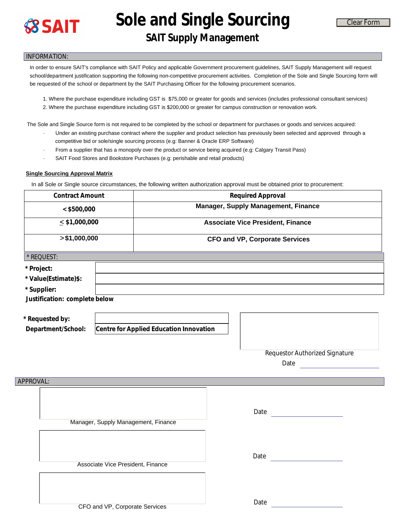

**Sole and Single Sourcing** 

## **SAIT Supply Management**

## INFORMATION:

- 1. Where the purchase expenditure including GST is \$75,000 or greater for goods and services (includes professional consultant services)
- 2. Where the purchase expenditure including GST is \$200,000 or greater for campus construction or renovation work.

- · Under an existing purchase contract where the supplier and product selection has previously been selected and approved through a competitive bid or sole/single sourcing process (e.g: Banner & Oracle ERP Software)
- · From a supplier that has a monopoly over the product or service being acquired (e.g: Calgary Transit Pass)
- SAIT Food Stores and Bookstore Purchases (e.g: perishable and retail products)

## **Single Sourcing Approval Matrix**

| <b>8 SAIT</b>                          |                                   | Sule and single sourcing                                                                                                                                                                     |  | <b>Clear Form</b>                                                                                                                                                                                                                                                                                    |
|----------------------------------------|-----------------------------------|----------------------------------------------------------------------------------------------------------------------------------------------------------------------------------------------|--|------------------------------------------------------------------------------------------------------------------------------------------------------------------------------------------------------------------------------------------------------------------------------------------------------|
|                                        |                                   | <b>SAIT Supply Management</b>                                                                                                                                                                |  |                                                                                                                                                                                                                                                                                                      |
| <b>INFORMATION:</b>                    |                                   |                                                                                                                                                                                              |  |                                                                                                                                                                                                                                                                                                      |
|                                        |                                   | be requested of the school or department by the SAIT Purchasing Officer for the following procurement scenarios.                                                                             |  | In order to ensure SAIT's compliance with SAIT Policy and applicable Government procurement guidelines, SAIT Supply Management will request<br>school/department justification supporting the following non-competitive procurement activities. Completion of the Sole and Single Sourcing form will |
|                                        |                                   |                                                                                                                                                                                              |  | 1. Where the purchase expenditure including GST is \$75,000 or greater for goods and services (includes professional consultant services)<br>2. Where the purchase expenditure including GST is \$200,000 or greater for campus construction or renovation work.                                     |
|                                        |                                   | competitive bid or sole/single sourcing process (e.g: Banner & Oracle ERP Software)                                                                                                          |  | The Sole and Single Source form is not required to be completed by the school or department for purchases or goods and services acquired:<br>Under an existing purchase contract where the supplier and product selection has previously been selected and approved through a                        |
|                                        |                                   | From a supplier that has a monopoly over the product or service being acquired (e.g: Calgary Transit Pass)<br>SAIT Food Stores and Bookstore Purchases (e.g: perishable and retail products) |  |                                                                                                                                                                                                                                                                                                      |
| <b>Single Sourcing Approval Matrix</b> |                                   |                                                                                                                                                                                              |  |                                                                                                                                                                                                                                                                                                      |
| <b>Contract Amount</b>                 |                                   | In all Sole or Single source circumstances, the following written authorization approval must be obtained prior to procurement:<br><b>Required Approval</b>                                  |  |                                                                                                                                                                                                                                                                                                      |
|                                        |                                   | Manager, Supply Management, Finance                                                                                                                                                          |  |                                                                                                                                                                                                                                                                                                      |
| < \$500,000<br>$\leq$ \$1,000,000      |                                   | <b>Associate Vice President, Finance</b>                                                                                                                                                     |  |                                                                                                                                                                                                                                                                                                      |
| > \$1,000,000                          |                                   | <b>CFO and VP, Corporate Services</b>                                                                                                                                                        |  |                                                                                                                                                                                                                                                                                                      |
| * REQUEST:                             |                                   |                                                                                                                                                                                              |  |                                                                                                                                                                                                                                                                                                      |
| * Project:                             |                                   |                                                                                                                                                                                              |  |                                                                                                                                                                                                                                                                                                      |
| * Value(Estimate)\$:                   |                                   |                                                                                                                                                                                              |  |                                                                                                                                                                                                                                                                                                      |
| * Supplier:                            |                                   |                                                                                                                                                                                              |  |                                                                                                                                                                                                                                                                                                      |
| Justification: complete below          |                                   |                                                                                                                                                                                              |  |                                                                                                                                                                                                                                                                                                      |
|                                        |                                   |                                                                                                                                                                                              |  |                                                                                                                                                                                                                                                                                                      |
| * Requested by:<br>Department/School:  |                                   | Centre for Applied Education Innovation                                                                                                                                                      |  |                                                                                                                                                                                                                                                                                                      |
|                                        |                                   |                                                                                                                                                                                              |  |                                                                                                                                                                                                                                                                                                      |
|                                        |                                   |                                                                                                                                                                                              |  | <b>Requestor Authorized Signature</b><br>Date and the contract of the contract of the contract of the contract of the contract of the contract of the contract of the contract of the contract of the contract of the contract of the contract of the contract of the c                              |
| APPROVAL:                              |                                   |                                                                                                                                                                                              |  |                                                                                                                                                                                                                                                                                                      |
|                                        |                                   |                                                                                                                                                                                              |  |                                                                                                                                                                                                                                                                                                      |
|                                        |                                   |                                                                                                                                                                                              |  | Date<br><u> 1990 - Johann Barbara, martxa a</u>                                                                                                                                                                                                                                                      |
|                                        |                                   | Manager, Supply Management, Finance                                                                                                                                                          |  |                                                                                                                                                                                                                                                                                                      |
|                                        |                                   |                                                                                                                                                                                              |  |                                                                                                                                                                                                                                                                                                      |
|                                        |                                   |                                                                                                                                                                                              |  | Date                                                                                                                                                                                                                                                                                                 |
|                                        | Associate Vice President, Finance |                                                                                                                                                                                              |  |                                                                                                                                                                                                                                                                                                      |
|                                        |                                   |                                                                                                                                                                                              |  |                                                                                                                                                                                                                                                                                                      |
|                                        |                                   |                                                                                                                                                                                              |  |                                                                                                                                                                                                                                                                                                      |
| CFO and VP, Corporate Services         |                                   |                                                                                                                                                                                              |  | Date                                                                                                                                                                                                                                                                                                 |